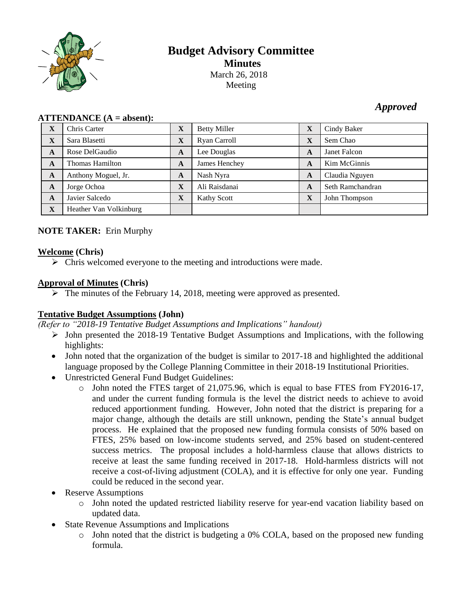

# **Budget Advisory Committee Minutes** March 26, 2018 Meeting

# *Approved*

| $\mathbf{H}$ |                        |              |                     |   |                  |
|--------------|------------------------|--------------|---------------------|---|------------------|
| X            | Chris Carter           | X            | <b>Betty Miller</b> | X | Cindy Baker      |
| $\mathbf X$  | Sara Blasetti          | $\mathbf X$  | Ryan Carroll        | X | Sem Chao         |
| A            | Rose DelGaudio         | A            | Lee Douglas         | A | Janet Falcon     |
| A            | Thomas Hamilton        | A            | James Henchey       | A | Kim McGinnis     |
| A            | Anthony Moguel, Jr.    | A            | Nash Nyra           | A | Claudia Nguyen   |
| A            | Jorge Ochoa            | $\mathbf{X}$ | Ali Raisdanai       | A | Seth Ramchandran |
| A            | Javier Salcedo         | $\mathbf{X}$ | <b>Kathy Scott</b>  | X | John Thompson    |
| $\mathbf X$  | Heather Van Volkinburg |              |                     |   |                  |

#### $ATTENDANCE (A = absent)$

### **NOTE TAKER:** Erin Murphy

### **Welcome (Chris)**

 $\triangleright$  Chris welcomed everyone to the meeting and introductions were made.

### **Approval of Minutes (Chris)**

 $\triangleright$  The minutes of the February 14, 2018, meeting were approved as presented.

## **Tentative Budget Assumptions (John)**

*(Refer to "2018-19 Tentative Budget Assumptions and Implications" handout)*

- $\triangleright$  John presented the 2018-19 Tentative Budget Assumptions and Implications, with the following highlights:
- John noted that the organization of the budget is similar to 2017-18 and highlighted the additional language proposed by the College Planning Committee in their 2018-19 Institutional Priorities.
- Unrestricted General Fund Budget Guidelines:
	- o John noted the FTES target of 21,075.96, which is equal to base FTES from FY2016-17, and under the current funding formula is the level the district needs to achieve to avoid reduced apportionment funding. However, John noted that the district is preparing for a major change, although the details are still unknown, pending the State's annual budget process. He explained that the proposed new funding formula consists of 50% based on FTES, 25% based on low-income students served, and 25% based on student-centered success metrics. The proposal includes a hold-harmless clause that allows districts to receive at least the same funding received in 2017-18. Hold-harmless districts will not receive a cost-of-living adjustment (COLA), and it is effective for only one year. Funding could be reduced in the second year.
- Reserve Assumptions
	- o John noted the updated restricted liability reserve for year-end vacation liability based on updated data.
- State Revenue Assumptions and Implications
	- o John noted that the district is budgeting a 0% COLA, based on the proposed new funding formula.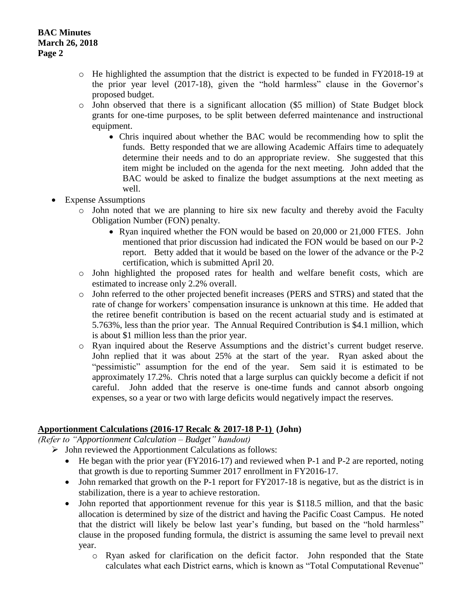- o He highlighted the assumption that the district is expected to be funded in FY2018-19 at the prior year level (2017-18), given the "hold harmless" clause in the Governor's proposed budget.
- o John observed that there is a significant allocation (\$5 million) of State Budget block grants for one-time purposes, to be split between deferred maintenance and instructional equipment.
	- Chris inquired about whether the BAC would be recommending how to split the funds. Betty responded that we are allowing Academic Affairs time to adequately determine their needs and to do an appropriate review. She suggested that this item might be included on the agenda for the next meeting. John added that the BAC would be asked to finalize the budget assumptions at the next meeting as well.
- Expense Assumptions
	- o John noted that we are planning to hire six new faculty and thereby avoid the Faculty Obligation Number (FON) penalty.
		- Ryan inquired whether the FON would be based on 20,000 or 21,000 FTES. John mentioned that prior discussion had indicated the FON would be based on our P-2 report. Betty added that it would be based on the lower of the advance or the P-2 certification, which is submitted April 20.
	- o John highlighted the proposed rates for health and welfare benefit costs, which are estimated to increase only 2.2% overall.
	- o John referred to the other projected benefit increases (PERS and STRS) and stated that the rate of change for workers' compensation insurance is unknown at this time. He added that the retiree benefit contribution is based on the recent actuarial study and is estimated at 5.763%, less than the prior year. The Annual Required Contribution is \$4.1 million, which is about \$1 million less than the prior year.
	- o Ryan inquired about the Reserve Assumptions and the district's current budget reserve. John replied that it was about 25% at the start of the year. Ryan asked about the "pessimistic" assumption for the end of the year. Sem said it is estimated to be approximately 17.2%. Chris noted that a large surplus can quickly become a deficit if not careful. John added that the reserve is one-time funds and cannot absorb ongoing expenses, so a year or two with large deficits would negatively impact the reserves.

## **Apportionment Calculations (2016-17 Recalc & 2017-18 P-1) (John)**

*(Refer to "Apportionment Calculation – Budget" handout)*

- $\triangleright$  John reviewed the Apportionment Calculations as follows:
	- He began with the prior year (FY2016-17) and reviewed when P-1 and P-2 are reported, noting that growth is due to reporting Summer 2017 enrollment in FY2016-17.
	- John remarked that growth on the P-1 report for FY2017-18 is negative, but as the district is in stabilization, there is a year to achieve restoration.
	- John reported that apportionment revenue for this year is \$118.5 million, and that the basic allocation is determined by size of the district and having the Pacific Coast Campus. He noted that the district will likely be below last year's funding, but based on the "hold harmless" clause in the proposed funding formula, the district is assuming the same level to prevail next year.
		- o Ryan asked for clarification on the deficit factor. John responded that the State calculates what each District earns, which is known as "Total Computational Revenue"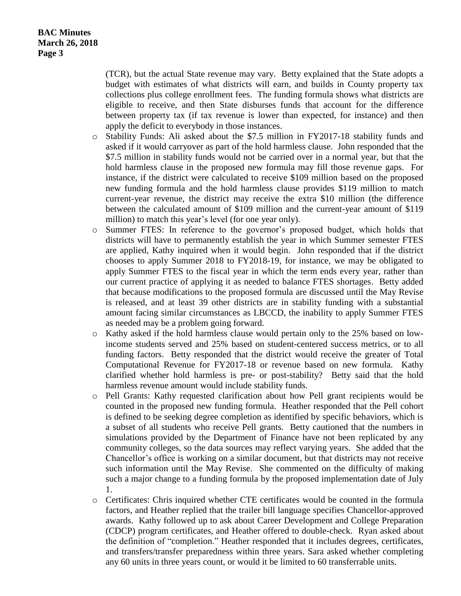(TCR), but the actual State revenue may vary. Betty explained that the State adopts a budget with estimates of what districts will earn, and builds in County property tax collections plus college enrollment fees. The funding formula shows what districts are eligible to receive, and then State disburses funds that account for the difference between property tax (if tax revenue is lower than expected, for instance) and then apply the deficit to everybody in those instances.

- o Stability Funds: Ali asked about the \$7.5 million in FY2017-18 stability funds and asked if it would carryover as part of the hold harmless clause. John responded that the \$7.5 million in stability funds would not be carried over in a normal year, but that the hold harmless clause in the proposed new formula may fill those revenue gaps. For instance, if the district were calculated to receive \$109 million based on the proposed new funding formula and the hold harmless clause provides \$119 million to match current-year revenue, the district may receive the extra \$10 million (the difference between the calculated amount of \$109 million and the current-year amount of \$119 million) to match this year's level (for one year only).
- o Summer FTES: In reference to the governor's proposed budget, which holds that districts will have to permanently establish the year in which Summer semester FTES are applied, Kathy inquired when it would begin. John responded that if the district chooses to apply Summer 2018 to FY2018-19, for instance, we may be obligated to apply Summer FTES to the fiscal year in which the term ends every year, rather than our current practice of applying it as needed to balance FTES shortages. Betty added that because modifications to the proposed formula are discussed until the May Revise is released, and at least 39 other districts are in stability funding with a substantial amount facing similar circumstances as LBCCD, the inability to apply Summer FTES as needed may be a problem going forward.
- o Kathy asked if the hold harmless clause would pertain only to the 25% based on lowincome students served and 25% based on student-centered success metrics, or to all funding factors. Betty responded that the district would receive the greater of Total Computational Revenue for FY2017-18 or revenue based on new formula. Kathy clarified whether hold harmless is pre- or post-stability? Betty said that the hold harmless revenue amount would include stability funds.
- o Pell Grants: Kathy requested clarification about how Pell grant recipients would be counted in the proposed new funding formula. Heather responded that the Pell cohort is defined to be seeking degree completion as identified by specific behaviors, which is a subset of all students who receive Pell grants. Betty cautioned that the numbers in simulations provided by the Department of Finance have not been replicated by any community colleges, so the data sources may reflect varying years. She added that the Chancellor's office is working on a similar document, but that districts may not receive such information until the May Revise. She commented on the difficulty of making such a major change to a funding formula by the proposed implementation date of July 1.
- o Certificates: Chris inquired whether CTE certificates would be counted in the formula factors, and Heather replied that the trailer bill language specifies Chancellor-approved awards. Kathy followed up to ask about Career Development and College Preparation (CDCP) program certificates, and Heather offered to double-check. Ryan asked about the definition of "completion." Heather responded that it includes degrees, certificates, and transfers/transfer preparedness within three years. Sara asked whether completing any 60 units in three years count, or would it be limited to 60 transferrable units.